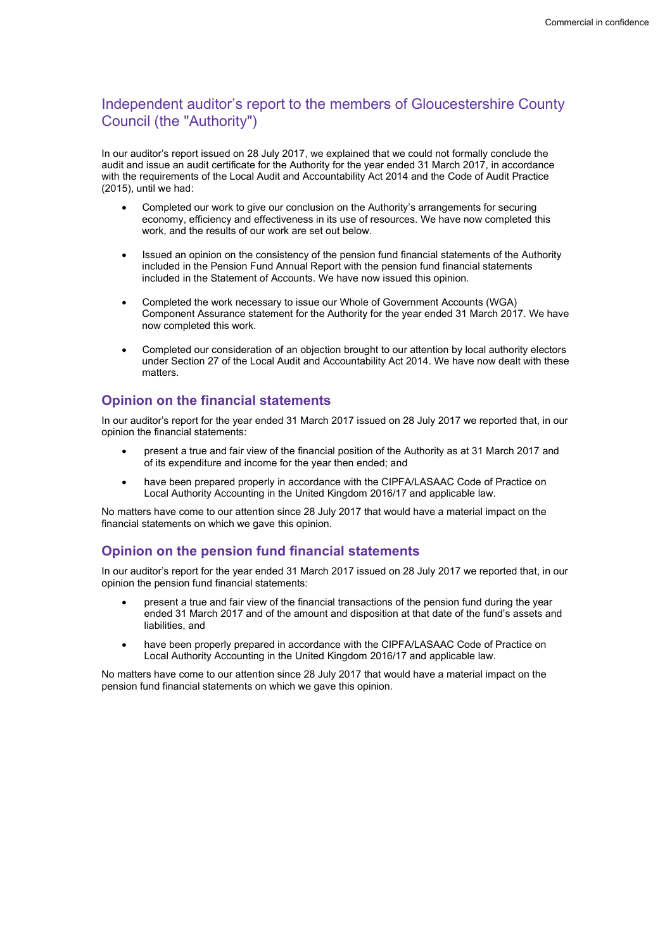# Independent auditor's report to the members of Gloucestershire County Council (the "Authority")

In our auditor's report issued on 28 July 2017, we explained that we could not formally conclude the audit and issue an audit certificate for the Authority for the year ended 31 March 2017, in accordance with the requirements of the Local Audit and Accountability Act 2014 and the Code of Audit Practice (2015), until we had:

- Completed our work to give our conclusion on the Authority's arrangements for securing economy, efficiency and effectiveness in its use of resources. We have now completed this work, and the results of our work are set out below.
- Issued an opinion on the consistency of the pension fund financial statements of the Authority included in the Pension Fund Annual Report with the pension fund financial statements included in the Statement of Accounts. We have now issued this opinion.
- Completed the work necessary to issue our Whole of Government Accounts (WGA) Component Assurance statement for the Authority for the year ended 31 March 2017. We have now completed this work.
- Completed our consideration of an objection brought to our attention by local authority electors under Section 27 of the Local Audit and Accountability Act 2014. We have now dealt with these matters.

## Opinion on the financial statements

In our auditor's report for the year ended 31 March 2017 issued on 28 July 2017 we reported that, in our opinion the financial statements:

- present a true and fair view of the financial position of the Authority as at 31 March 2017 and of its expenditure and income for the year then ended; and
- have been prepared properly in accordance with the CIPFA/LASAAC Code of Practice on Local Authority Accounting in the United Kingdom 2016/17 and applicable law.

No matters have come to our attention since 28 July 2017 that would have a material impact on the financial statements on which we gave this opinion.

### Opinion on the pension fund financial statements

In our auditor's report for the year ended 31 March 2017 issued on 28 July 2017 we reported that, in our opinion the pension fund financial statements:

- present a true and fair view of the financial transactions of the pension fund during the year ended 31 March 2017 and of the amount and disposition at that date of the fund's assets and liabilities, and
- have been properly prepared in accordance with the CIPFA/LASAAC Code of Practice on Local Authority Accounting in the United Kingdom 2016/17 and applicable law.

No matters have come to our attention since 28 July 2017 that would have a material impact on the pension fund financial statements on which we gave this opinion.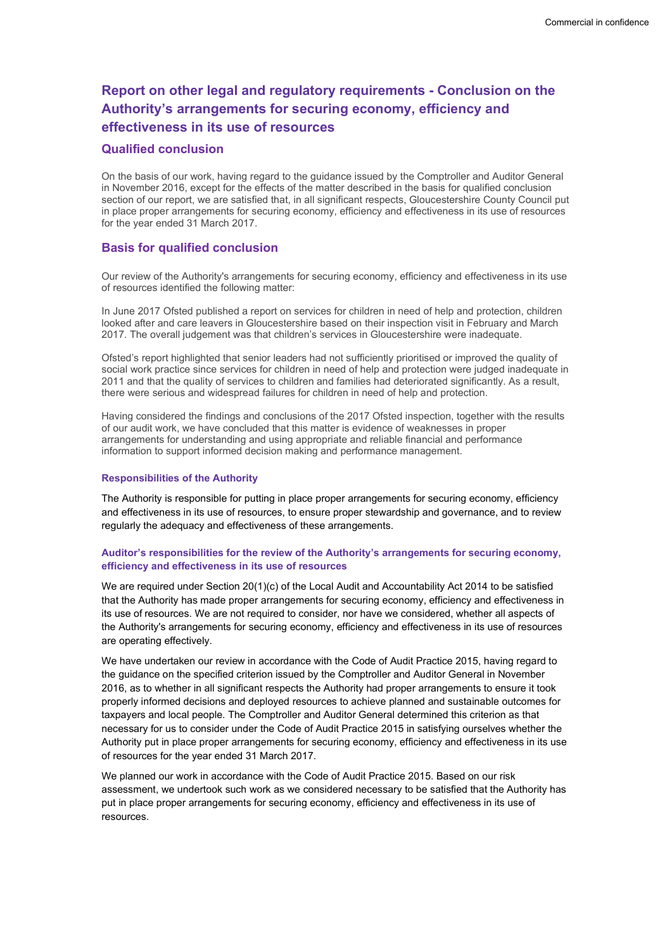# Report on other legal and regulatory requirements - Conclusion on the Authority's arrangements for securing economy, efficiency and effectiveness in its use of resources

#### Qualified conclusion

On the basis of our work, having regard to the guidance issued by the Comptroller and Auditor General in November 2016, except for the effects of the matter described in the basis for qualified conclusion section of our report, we are satisfied that, in all significant respects, Gloucestershire County Council put in place proper arrangements for securing economy, efficiency and effectiveness in its use of resources for the year ended 31 March 2017.

### Basis for qualified conclusion

Our review of the Authority's arrangements for securing economy, efficiency and effectiveness in its use of resources identified the following matter:

In June 2017 Ofsted published a report on services for children in need of help and protection, children looked after and care leavers in Gloucestershire based on their inspection visit in February and March 2017. The overall judgement was that children's services in Gloucestershire were inadequate.

Ofsted's report highlighted that senior leaders had not sufficiently prioritised or improved the quality of social work practice since services for children in need of help and protection were judged inadequate in 2011 and that the quality of services to children and families had deteriorated significantly. As a result, there were serious and widespread failures for children in need of help and protection.

Having considered the findings and conclusions of the 2017 Ofsted inspection, together with the results of our audit work, we have concluded that this matter is evidence of weaknesses in proper arrangements for understanding and using appropriate and reliable financial and performance information to support informed decision making and performance management.

#### Responsibilities of the Authority

The Authority is responsible for putting in place proper arrangements for securing economy, efficiency and effectiveness in its use of resources, to ensure proper stewardship and governance, and to review regularly the adequacy and effectiveness of these arrangements.

#### Auditor's responsibilities for the review of the Authority's arrangements for securing economy, efficiency and effectiveness in its use of resources

We are required under Section 20(1)(c) of the Local Audit and Accountability Act 2014 to be satisfied that the Authority has made proper arrangements for securing economy, efficiency and effectiveness in its use of resources. We are not required to consider, nor have we considered, whether all aspects of the Authority's arrangements for securing economy, efficiency and effectiveness in its use of resources are operating effectively.

We have undertaken our review in accordance with the Code of Audit Practice 2015, having regard to the guidance on the specified criterion issued by the Comptroller and Auditor General in November 2016, as to whether in all significant respects the Authority had proper arrangements to ensure it took properly informed decisions and deployed resources to achieve planned and sustainable outcomes for taxpayers and local people. The Comptroller and Auditor General determined this criterion as that necessary for us to consider under the Code of Audit Practice 2015 in satisfying ourselves whether the Authority put in place proper arrangements for securing economy, efficiency and effectiveness in its use of resources for the year ended 31 March 2017.

We planned our work in accordance with the Code of Audit Practice 2015. Based on our risk assessment, we undertook such work as we considered necessary to be satisfied that the Authority has put in place proper arrangements for securing economy, efficiency and effectiveness in its use of resources.